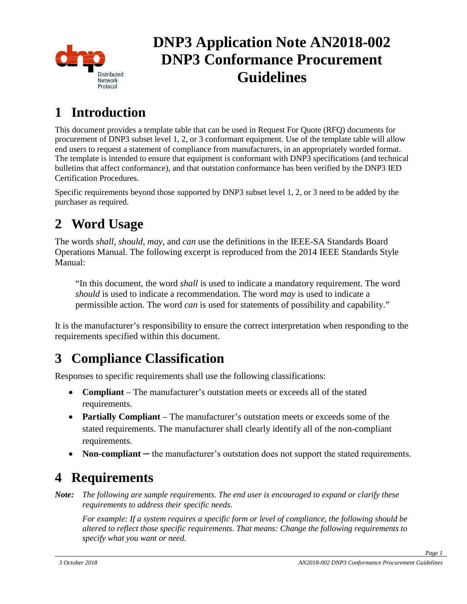

# **DNP3 Application Note AN2018-002 DNP3 Conformance Procurement Guidelines**

## **1 Introduction**

This document provides a template table that can be used in Request For Quote (RFQ) documents for procurement of DNP3 subset level 1, 2, or 3 conformant equipment. Use of the template table will allow end users to request a statement of compliance from manufacturers, in an appropriately worded format. The template is intended to ensure that equipment is conformant with DNP3 specifications (and technical bulletins that affect conformance), and that outstation conformance has been verified by the DNP3 IED Certification Procedures.

Specific requirements beyond those supported by DNP3 subset level 1, 2, or 3 need to be added by the purchaser as required.

## **2 Word Usage**

The words *shall*, *should*, *may*, and *can* use the definitions in the IEEE-SA Standards Board Operations Manual. The following excerpt is reproduced from the 2014 IEEE Standards Style Manual:

"In this document, the word *shall* is used to indicate a mandatory requirement. The word *should* is used to indicate a recommendation. The word *may* is used to indicate a permissible action. The word *can* is used for statements of possibility and capability."

It is the manufacturer's responsibility to ensure the correct interpretation when responding to the requirements specified within this document.

## **3 Compliance Classification**

Responses to specific requirements shall use the following classifications:

- **Compliant** The manufacturer's outstation meets or exceeds all of the stated requirements.
- **Partially Compliant** The manufacturer's outstation meets or exceeds some of the stated requirements. The manufacturer shall clearly identify all of the non-compliant requirements.
- **Non-compliant** the manufacturer's outstation does not support the stated requirements.

### **4 Requirements**

*Note: The following are sample requirements. The end user is encouraged to expand or clarify these requirements to address their specific needs*.

*For example: If a system requires a specific form or level of compliance*, *the following should be altered to reflect those specific requirements. That means: Change the following requirements to specify what you want or need.*

*Page 1*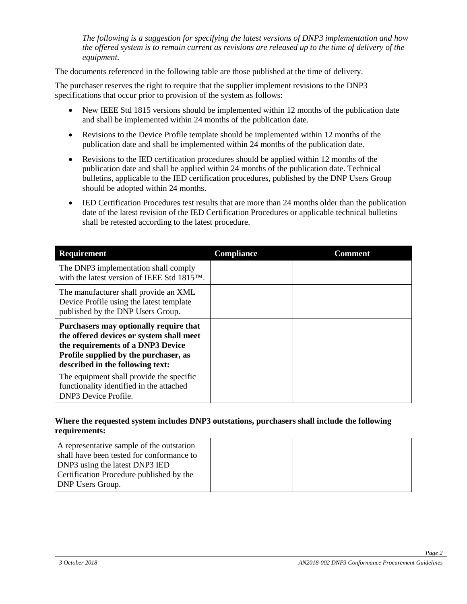*The following is a suggestion for specifying the latest versions of DNP3 implementation and how the offered system is to remain current as revisions are released up to the time of delivery of the equipment.*

The documents referenced in the following table are those published at the time of delivery.

The purchaser reserves the right to require that the supplier implement revisions to the DNP3 specifications that occur prior to provision of the system as follows:

- New IEEE Std 1815 versions should be implemented within 12 months of the publication date and shall be implemented within 24 months of the publication date.
- Revisions to the Device Profile template should be implemented within 12 months of the publication date and shall be implemented within 24 months of the publication date.
- Revisions to the IED certification procedures should be applied within 12 months of the publication date and shall be applied within 24 months of the publication date. Technical bulletins, applicable to the IED certification procedures, published by the DNP Users Group should be adopted within 24 months.
- IED Certification Procedures test results that are more than 24 months older than the publication date of the latest revision of the IED Certification Procedures or applicable technical bulletins shall be retested according to the latest procedure.

| <b>Requirement</b>                                                                                                                                                                                   | <b>Compliance</b> | Comment |
|------------------------------------------------------------------------------------------------------------------------------------------------------------------------------------------------------|-------------------|---------|
| The DNP3 implementation shall comply<br>with the latest version of IEEE Std 1815™.                                                                                                                   |                   |         |
| The manufacturer shall provide an XML<br>Device Profile using the latest template<br>published by the DNP Users Group.                                                                               |                   |         |
| Purchasers may optionally require that<br>the offered devices or system shall meet<br>the requirements of a DNP3 Device<br>Profile supplied by the purchaser, as<br>described in the following text: |                   |         |
| The equipment shall provide the specific<br>functionality identified in the attached<br><b>DNP3</b> Device Profile.                                                                                  |                   |         |

#### **Where the requested system includes DNP3 outstations, purchasers shall include the following requirements:**

| A representative sample of the outstation<br>shall have been tested for conformance to |  |
|----------------------------------------------------------------------------------------|--|
| DNP3 using the latest DNP3 IED                                                         |  |
| Certification Procedure published by the                                               |  |
| <b>DNP Users Group.</b>                                                                |  |